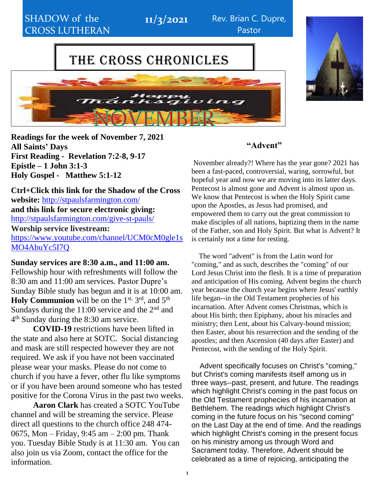

CHURCH CHURCH CHURCH CHURCH CHURCH CHURCH CHURCH CHURCH CHURCH CHURCH CHURCH CHURCH CHURCH CHURCH CHURCH CHURCH

**11/3/2021** Rev. Brian C. Dupre, Pastor

# THE CROSS CHRONICLES



**Readings for the week of November 7, 2021 All Saints' Days First Reading - Revelation 7:2-8, 9-17 Epistle – 1 John 3:1-3 Holy Gospel - Matthew 5:1-12**

**Ctrl+Click this link for the Shadow of the Cross website:** <http://stpaulsfarmington.com/> **and this link for secure electronic giving:** <http://stpaulsfarmington.com/give-st-pauls/> **Worship service livestream:**  [https://www.youtube.com/channel/UCM0cM0gle1s](https://www.youtube.com/channel/UCM0cM0gle1sMO4AbuYc5I7Q) [MO4AbuYc5I7Q](https://www.youtube.com/channel/UCM0cM0gle1sMO4AbuYc5I7Q)

**Sunday services are 8:30 a.m., and 11:00 am.** Fellowship hour with refreshments will follow the 8:30 am and 11:00 am services. Pastor Dupre's Sunday Bible study has begun and it is at 10:00 am. Holy Communion will be on the 1<sup>st, 3rd</sup>, and 5<sup>th</sup> Sundays during the  $11:00$  service and the  $2<sup>nd</sup>$  and 4 th Sunday during the 8:30 am service.

**COVID-19** restrictions have been lifted in the state and also here at SOTC. Social distancing and mask are still respected however they are not required. We ask if you have not been vaccinated please wear your masks. Please do not come to church if you have a fever, other flu like symptoms or if you have been around someone who has tested positive for the Corona Virus in the past two weeks.

**Aaron Clark** has created a SOTC YouTube channel and will be streaming the service. Please direct all questions to the church office 248 474- 0675, Mon – Friday, 9:45 am – 2:00 pm. Thank you. Tuesday Bible Study is at 11:30 am. You can also join us via Zoom, contact the office for the information.

#### **"Advent"**

November already?! Where has the year gone? 2021 has been a fast-paced, controversial, waring, sorrowful, but hopeful year and now we are moving into its latter days. Pentecost is almost gone and Advent is almost upon us. We know that Pentecost is when the Holy Spirit came upon the Apostles, as Jesus had promised, and empowered them to carry out the great commission to make disciples of all nations, baptizing them in the name of the Father, son and Holy Spirit. But what is Advent? It is certainly not a time for resting.

The word "advent" is from the Latin word for "coming," and as such, describes the "coming" of our Lord Jesus Christ into the flesh. It is a time of preparation and anticipation of His coming. Advent begins the church year because the church year begins where Jesus' earthly life began--in the Old Testament prophecies of his incarnation. After Advent comes Christmas, which is about His birth; then Epiphany, about his miracles and ministry; then Lent, about his Calvary-bound mission; then Easter, about his resurrection and the sending of the apostles; and then Ascension (40 days after Easter) and Pentecost, with the sending of the Holy Spirit.

Advent specifically focuses on Christ's "coming," but Christ's coming manifests itself among us in three ways--past, present, and future. The readings which highlight Christ's coming in the past focus on the Old Testament prophecies of his incarnation at Bethlehem. The readings which highlight Christ's coming in the future focus on his "second coming" on the Last Day at the end of time. And the readings which highlight Christ's coming in the present focus on his ministry among us through Word and Sacrament today. Therefore, Advent should be celebrated as a time of rejoicing, anticipating the

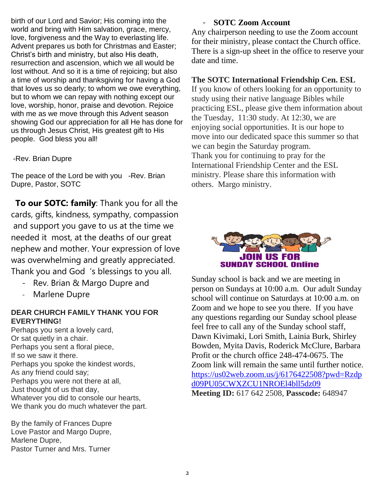birth of our Lord and Savior; His coming into the world and bring with Him salvation, grace, mercy, love, forgiveness and the Way to everlasting life. Advent prepares us both for Christmas and Easter; Christ's birth and ministry, but also His death, resurrection and ascension, which we all would be lost without. And so it is a time of rejoicing; but also a time of worship and thanksgiving for having a God that loves us so dearly; to whom we owe everything, but to whom we can repay with nothing except our love, worship, honor, praise and devotion. Rejoice with me as we move through this Advent season showing God our appreciation for all He has done for us through Jesus Christ, His greatest gift to His people. God bless you all!

-Rev. Brian Dupre

The peace of the Lord be with you -Rev. Brian Dupre, Pastor, SOTC

 **To our SOTC: family**: Thank you for all the cards, gifts, kindness, sympathy, compassion and support you gave to us at the time we needed it most, at the deaths of our great nephew and mother. Your expression of love was overwhelming and greatly appreciated. Thank you and God 's blessings to you all.

- Rev. Brian & Margo Dupre and
- Marlene Dupre

#### **DEAR CHURCH FAMILY THANK YOU FOR EVERYTHING!**

Perhaps you sent a lovely card, Or sat quietly in a chair. Perhaps you sent a floral piece, If so we saw it there. Perhaps you spoke the kindest words, As any friend could say; Perhaps you were not there at all, Just thought of us that day, Whatever you did to console our hearts, We thank you do much whatever the part.

By the family of Frances Dupre Love Pastor and Margo Dupre, Marlene Dupre, Pastor Turner and Mrs. Turner

#### - **SOTC Zoom Account**

Any chairperson needing to use the Zoom account for their ministry, please contact the Church office. There is a sign-up sheet in the office to reserve your date and time.

#### **The SOTC International Friendship Cen. ESL**

If you know of others looking for an opportunity to study using their native language Bibles while practicing ESL, please give them information about the Tuesday, 11:30 study. At 12:30, we are enjoying social opportunities. It is our hope to move into our dedicated space this summer so that we can begin the Saturday program. Thank you for continuing to pray for the International Friendship Center and the ESL ministry. Please share this information with others. Margo ministry.



Sunday school is back and we are meeting in person on Sundays at 10:00 a.m. Our adult Sunday school will continue on Saturdays at 10:00 a.m. on Zoom and we hope to see you there. If you have any questions regarding our Sunday school please feel free to call any of the Sunday school staff, Dawn Kivimaki, Lori Smith, Lainia Burk, Shirley Bowden, Myita Davis, Roderick McClure, Barbara Profit or the church office 248-474-0675. The Zoom link will remain the same until further notice. [https://us02web.zoom.us/j/6176422508?pwd=Rzdp](https://us02web.zoom.us/j/6176422508?pwd=Rzdpd09PU05CWXZCU1NROEl4bll5dz09) [d09PU05CWXZCU1NROEl4bll5dz09](https://us02web.zoom.us/j/6176422508?pwd=Rzdpd09PU05CWXZCU1NROEl4bll5dz09) **Meeting ID:** 617 642 2508, **Passcode:** 648947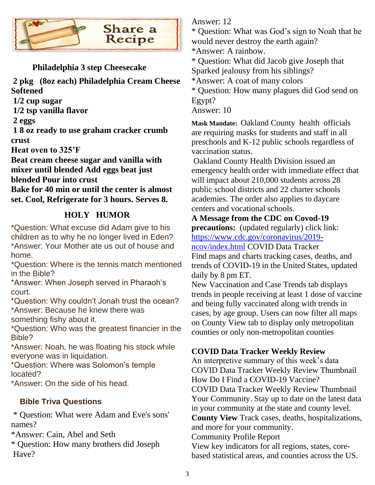

### **Philadelphia 3 step Cheesecake**

**2 pkg (8oz each) Philadelphia Cream Cheese Softened**

**1/2 cup sugar**

**1/2 tsp vanilla flavor**

**2 eggs**

**1 8 oz ready to use graham cracker crumb crust**

**Heat oven to 325'F**

**Beat cream cheese sugar and vanilla with mixer until blended Add eggs beat just blended Pour into crust**

**Bake for 40 min or until the center is almost set. Cool, Refrigerate for 3 hours. Serves 8.**

# **HOLY HUMOR**

\*Question: What excuse did Adam give to his children as to why he no longer lived in Eden? \*Answer: Your Mother ate us out of house and home.

\*Question: Where is the tennis match mentioned in the Bible?

\*Answer: When Joseph served in Pharaoh's court.

\*Question: Why couldn't Jonah trust the ocean? \*Answer: Because he knew there was something fishy about it.

\*Question: Who was the greatest financier in the Bible?

\*Answer: Noah, he was floating his stock while everyone was in liquidation.

\*Question: Where was Solomon's temple located?

\*Answer: On the side of his head.

# **Bible Triva Questions**

\* Question: What were Adam and Eve's sons' names?

\*Answer: Cain, Abel and Seth

\* Question: How many brothers did Joseph Have?

Answer: 12

\* Question: What was God's sign to Noah that he would never destroy the earth again?

\*Answer: A rainbow.

\* Question: What did Jacob give Joseph that

Sparked jealousy from his siblings?

\*Answer: A coat of many colors

\* Question: How many plagues did God send on Egypt?

Answer: 10

**Mask Mandate:** Oakland County [health](https://www.detroitnews.com/story/news/local/oakland-county/2021/08/24/michigan-county-mask-mandate-oakland-county-k-12-students/5574078001/) officials are requiring masks for students and staff in all preschools and K-12 public schools regardless of vaccination status.

Oakland County Health Division issued an emergency health order with immediate effect that will impact about 210,000 students across 28 public school districts and 22 charter schools academies. The order also applies to daycare centers and vocational schools.

**A Message from the CDC on Covod-19 precautions:** (updated regularly) click link: [https://www.cdc.gov/coronavirus/2019-](https://www.cdc.gov/coronavirus/2019-ncov/index.html)

[ncov/index.html](https://www.cdc.gov/coronavirus/2019-ncov/index.html) COVID Data Tracker

Find maps and charts tracking cases, deaths, and trends of COVID-19 in the United States, updated daily by 8 pm ET.

New Vaccination and Case Trends tab displays trends in people receiving at least 1 dose of vaccine and being fully vaccinated along with trends in cases, by age group. Users can now filter all maps on County View tab to display only metropolitan counties or only non-metropolitan counties

### **COVID Data Tracker Weekly Review**

An interpretive summary of this week's data COVID Data Tracker Weekly Review Thumbnail How Do I Find a COVID-19 Vaccine? COVID Data Tracker Weekly Review Thumbnail Your Community. Stay up to date on the latest data in your community at the state and county level. **County View** Track cases, deaths, hospitalizations, and more for your community. Community Profile Report View key indicators for all regions, states, corebased statistical areas, and counties across the US.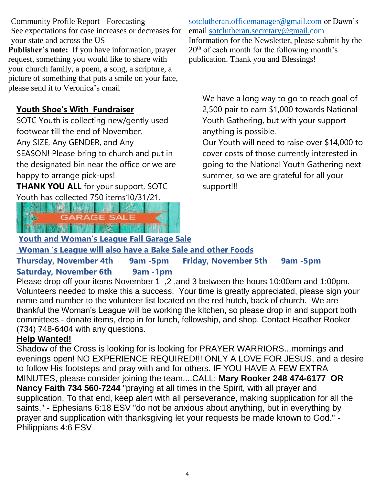Community Profile Report - Forecasting See expectations for case increases or decreases for your state and across the US **Publisher's note:** If you have information, prayer request, something you would like to share with your church family, a poem, a song, a scripture, a picture of something that puts a smile on your face, please send it to Veronica's email

### **Youth Shoe's With Fundraiser**

SOTC Youth is collecting new/gently used footwear till the end of November.

Any SIZE, Any GENDER, and Any

SEASON! Please bring to church and put in the designated bin near the office or we are happy to arrange pick-ups!

**THANK YOU ALL** for your support, SOTC Youth has collected 750 items10/31/21.



[sotclutheran.officemanager@gmail.com](mailto:sotclutheran.officemanager@gmail.com) or Dawn's email [sotclutheran.secretary@gmail.com](mailto:sotclutheran.secretary@gmail.com) Information for the Newsletter, please submit by the 20th of each month for the following month's publication. Thank you and Blessings!

We have a long way to go to reach goal of 2,500 pair to earn \$1,000 towards National Youth Gathering, but with your support anything is possible.

Our Youth will need to raise over \$14,000 to cover costs of those currently interested in going to the National Youth Gathering next summer, so we are grateful for all your support!!!

**Youth and Woman's League Fall Garage Sale**

**Woman 's League will also have a Bake Sale and other Foods**

**Thursday, November 4th 9am -5pm Friday, November 5th 9am -5pm Saturday, November 6th 9am -1pm**

Please drop off your items November 1, 2, and 3 between the hours 10:00am and 1:00pm. Volunteers needed to make this a success. Your time is greatly appreciated, please sign your name and number to the volunteer list located on the red hutch, back of church. We are thankful the Woman's League will be working the kitchen, so please drop in and support both committees - donate items, drop in for lunch, fellowship, and shop. Contact Heather Rooker (734) 748-6404 with any questions.

### **Help Wanted!**

Shadow of the Cross is looking for is looking for PRAYER WARRIORS...mornings and evenings open! NO EXPERIENCE REQUIRED!!! ONLY A LOVE FOR JESUS, and a desire to follow His footsteps and pray with and for others. IF YOU HAVE A FEW EXTRA MINUTES, please consider joining the team....CALL: **Mary Rooker 248 474-6177 OR Nancy Faith 734 560-7244** "praying at all times in the Spirit, with all prayer and supplication. To that end, keep alert with all perseverance, making supplication for all the saints," - Ephesians 6:18 ESV "do not be anxious about anything, but in everything by prayer and supplication with thanksgiving let your requests be made known to God." - Philippians 4:6 ESV